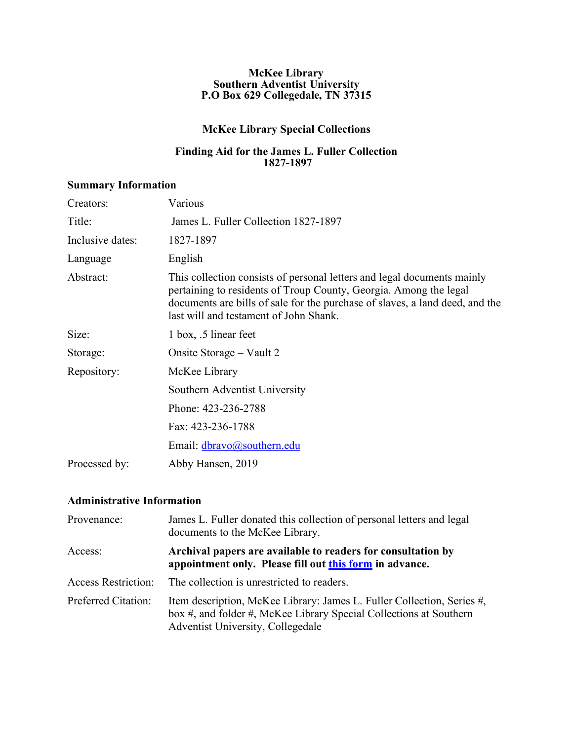#### **McKee Library Southern Adventist University P.O Box 629 Collegedale, TN 37315**

## **McKee Library Special Collections**

#### **Finding Aid for the James L. Fuller Collection 1827-1897**

#### **Summary Information**

| Creators:        | Various                                                                                                                                                                                                                                                                |
|------------------|------------------------------------------------------------------------------------------------------------------------------------------------------------------------------------------------------------------------------------------------------------------------|
| Title:           | James L. Fuller Collection 1827-1897                                                                                                                                                                                                                                   |
| Inclusive dates: | 1827-1897                                                                                                                                                                                                                                                              |
| Language         | English                                                                                                                                                                                                                                                                |
| Abstract:        | This collection consists of personal letters and legal documents mainly<br>pertaining to residents of Troup County, Georgia. Among the legal<br>documents are bills of sale for the purchase of slaves, a land deed, and the<br>last will and testament of John Shank. |
| Size:            | 1 box, .5 linear feet                                                                                                                                                                                                                                                  |
| Storage:         | Onsite Storage – Vault 2                                                                                                                                                                                                                                               |
| Repository:      | McKee Library                                                                                                                                                                                                                                                          |
|                  | Southern Adventist University                                                                                                                                                                                                                                          |
|                  | Phone: 423-236-2788                                                                                                                                                                                                                                                    |
|                  | Fax: 423-236-1788                                                                                                                                                                                                                                                      |
|                  | Email: dbravo@southern.edu                                                                                                                                                                                                                                             |
| Processed by:    | Abby Hansen, 2019                                                                                                                                                                                                                                                      |

# **Administrative Information**

| Provenance:                | James L. Fuller donated this collection of personal letters and legal<br>documents to the McKee Library.                                                                          |
|----------------------------|-----------------------------------------------------------------------------------------------------------------------------------------------------------------------------------|
| Access:                    | Archival papers are available to readers for consultation by<br>appointment only. Please fill out this form in advance.                                                           |
| <b>Access Restriction:</b> | The collection is unrestricted to readers.                                                                                                                                        |
| <b>Preferred Citation:</b> | Item description, McKee Library: James L. Fuller Collection, Series #,<br>box #, and folder #, McKee Library Special Collections at Southern<br>Adventist University, Collegedale |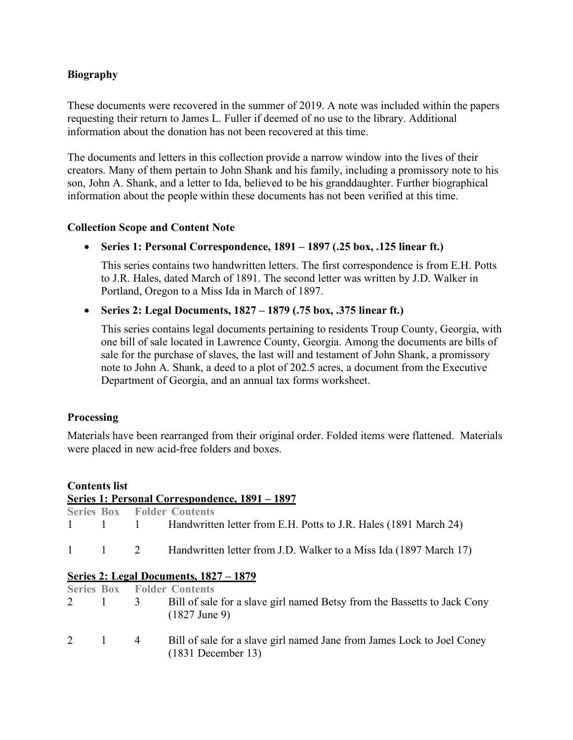### **Biography**

These documents were recovered in the summer of 2019. A note was included within the papers requesting their return to James L. Fuller if deemed of no use to the library. Additional information about the donation has not been recovered at this time.

The documents and letters in this collection provide a narrow window into the lives of their creators. Many of them pertain to John Shank and his family, including a promissory note to his son, John A. Shank, and a letter to Ida, believed to be his granddaughter. Further biographical information about the people within these documents has not been verified at this time.

#### **Collection Scope and Content Note**

• **Series 1: Personal Correspondence, 1891 – 1897 (.25 box, .125 linear ft.)**

This series contains two handwritten letters. The first correspondence is from E.H. Potts to J.R. Hales, dated March of 1891. The second letter was written by J.D. Walker in Portland, Oregon to a Miss Ida in March of 1897.

#### • **Series 2: Legal Documents, 1827 – 1879 (.75 box, .375 linear ft.)**

This series contains legal documents pertaining to residents Troup County, Georgia, with one bill of sale located in Lawrence County, Georgia. Among the documents are bills of sale for the purchase of slaves, the last will and testament of John Shank, a promissory note to John A. Shank, a deed to a plot of 202.5 acres, a document from the Executive Department of Georgia, and an annual tax forms worksheet.

#### **Processing**

Materials have been rearranged from their original order. Folded items were flattened. Materials were placed in new acid-free folders and boxes.

# **Contents list Series 1: Personal Correspondence, 1891 – 1897 Series Box Folder Contents** 1 1 1 Handwritten letter from E.H. Potts to J.R. Hales (1891 March 24) 1 1 2 Handwritten letter from J.D. Walker to a Miss Ida (1897 March 17) **Series 2: Legal Documents, 1827 – 1879 Series Box Folder Contents** 2 1 3 Bill of sale for a slave girl named Betsy from the Bassetts to Jack Cony (1827 June 9) 2 1 4 Bill of sale for a slave girl named Jane from James Lock to Joel Coney (1831 December 13)